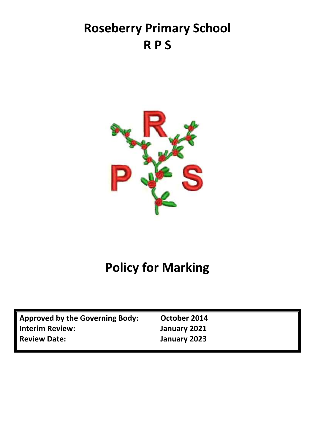## **Roseberry Primary School R P S**



# **Policy for Marking**

| <b>Approved by the Governing Body:</b> | October 2014 |
|----------------------------------------|--------------|
| <b>Interim Review:</b>                 | January 2021 |
| <b>Review Date:</b>                    | January 2023 |
|                                        |              |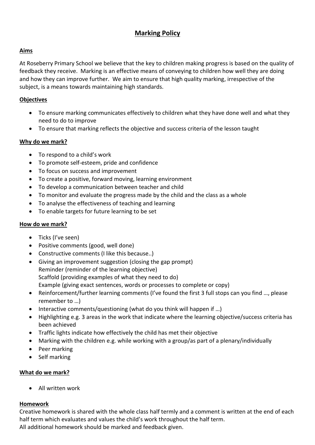## **Marking Policy**

## **Aims**

At Roseberry Primary School we believe that the key to children making progress is based on the quality of feedback they receive. Marking is an effective means of conveying to children how well they are doing and how they can improve further. We aim to ensure that high quality marking, irrespective of the subject, is a means towards maintaining high standards.

### **Objectives**

- To ensure marking communicates effectively to children what they have done well and what they need to do to improve
- To ensure that marking reflects the objective and success criteria of the lesson taught

#### **Why do we mark?**

- To respond to a child's work
- To promote self-esteem, pride and confidence
- To focus on success and improvement
- To create a positive, forward moving, learning environment
- To develop a communication between teacher and child
- To monitor and evaluate the progress made by the child and the class as a whole
- To analyse the effectiveness of teaching and learning
- To enable targets for future learning to be set

## **How do we mark?**

- Ticks (I've seen)
- Positive comments (good, well done)
- Constructive comments (I like this because..)
- Giving an improvement suggestion (closing the gap prompt) Reminder (reminder of the learning objective) Scaffold (providing examples of what they need to do) Example (giving exact sentences, words or processes to complete or copy)
- Reinforcement/further learning comments (I've found the first 3 full stops can you find ..., please remember to …)
- Interactive comments/questioning (what do you think will happen if …)
- Highlighting e.g. 3 areas in the work that indicate where the learning objective/success criteria has been achieved
- Traffic lights indicate how effectively the child has met their objective
- Marking with the children e.g. while working with a group/as part of a plenary/individually
- Peer marking
- Self marking

## **What do we mark?**

• All written work

#### **Homework**

Creative homework is shared with the whole class half termly and a comment is written at the end of each half term which evaluates and values the child's work throughout the half term. All additional homework should be marked and feedback given.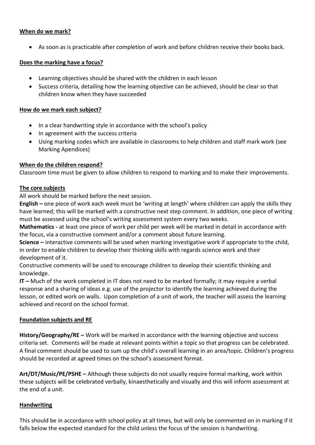#### **When do we mark?**

• As soon as is practicable after completion of work and before children receive their books back.

#### **Does the marking have a focus?**

- Learning objectives should be shared with the children in each lesson
- Success criteria, detailing how the learning objective can be achieved, should be clear so that children know when they have succeeded

#### **How do we mark each subject?**

- In a clear handwriting style in accordance with the school's policy
- In agreement with the success criteria
- Using marking codes which are available in classrooms to help children and staff mark work (see Marking Apendices)

#### **When do the children respond?**

Classroom time must be given to allow children to respond to marking and to make their improvements.

#### **The core subjects**

All work should be marked before the next session.

**English –** one piece of work each week must be 'writing at length' where children can apply the skills they have learned; this will be marked with a constructive next step comment. In addition, one piece of writing must be assessed using the school's writing assessment system every two weeks.

**Mathematics -** at least one piece of work per child per week will be marked in detail in accordance with the focus, via a constructive comment and/or a comment about future learning.

**Science –** interactive comments will be used when marking investigative work if appropriate to the child, in order to enable children to develop their thinking skills with regards science work and their development of it.

Constructive comments will be used to encourage children to develop their scientific thinking and knowledge.

**IT –** Much of the work completed in IT does not need to be marked formally; it may require a verbal response and a sharing of ideas e.g. use of the projector to identify the learning achieved during the lesson, or edited work on walls. Upon completion of a unit of work, the teacher will assess the learning achieved and record on the school format.

#### **Foundation subjects and RE**

**History/Geography/RE –** Work will be marked in accordance with the learning objective and success criteria set. Comments will be made at relevant points within a topic so that progress can be celebrated. A final comment should be used to sum up the child's overall learning in an area/topic. Children's progress should be recorded at agreed times on the school's assessment format.

**Art/DT/Music/PE/PSHE –** Although these subjects do not usually require formal marking, work within these subjects will be celebrated verbally, kinaesthetically and visually and this will inform assessment at the end of a unit.

#### **Handwriting**

This should be in accordance with school policy at all times, but will only be commented on in marking if it falls below the expected standard for the child unless the focus of the session is handwriting.